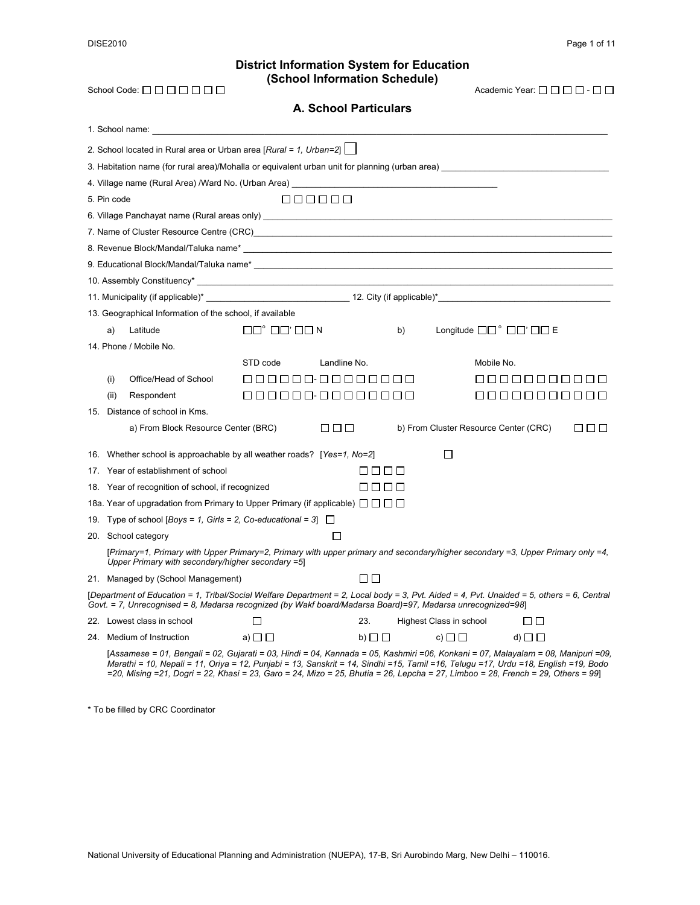#### **District Information System for Education (School Information Schedule)**   $School Code: \Box \Box \Box \Box \Box \Box$

| $\lambda$ cademic Year: $\square \square \square \square \square$ - $\square \square$ |  |  |
|---------------------------------------------------------------------------------------|--|--|
|---------------------------------------------------------------------------------------|--|--|

| <b>A. School Particulars</b>                                                                                                                                                                                                                                                                                                                                                                              |                                                  |                 |    |                                                              |             |     |
|-----------------------------------------------------------------------------------------------------------------------------------------------------------------------------------------------------------------------------------------------------------------------------------------------------------------------------------------------------------------------------------------------------------|--------------------------------------------------|-----------------|----|--------------------------------------------------------------|-------------|-----|
|                                                                                                                                                                                                                                                                                                                                                                                                           |                                                  |                 |    |                                                              |             |     |
| 2. School located in Rural area or Urban area [Rural = 1, Urban=2] $\Box$                                                                                                                                                                                                                                                                                                                                 |                                                  |                 |    |                                                              |             |     |
|                                                                                                                                                                                                                                                                                                                                                                                                           |                                                  |                 |    |                                                              |             |     |
|                                                                                                                                                                                                                                                                                                                                                                                                           |                                                  |                 |    |                                                              |             |     |
| 5. Pin code                                                                                                                                                                                                                                                                                                                                                                                               |                                                  | 888888          |    |                                                              |             |     |
|                                                                                                                                                                                                                                                                                                                                                                                                           |                                                  |                 |    |                                                              |             |     |
| 7. Name of Cluster Resource Centre (CRC)<br>and the contract of Cluster Resource Centre (CRC)<br>and the contract of the contract of the contract of the contract of the contract of the contract of the contract of the contract                                                                                                                                                                         |                                                  |                 |    |                                                              |             |     |
|                                                                                                                                                                                                                                                                                                                                                                                                           |                                                  |                 |    |                                                              |             |     |
| 9. Educational Block/Mandal/Taluka name*<br>                                                                                                                                                                                                                                                                                                                                                              |                                                  |                 |    |                                                              |             |     |
|                                                                                                                                                                                                                                                                                                                                                                                                           |                                                  |                 |    |                                                              |             |     |
|                                                                                                                                                                                                                                                                                                                                                                                                           |                                                  |                 |    |                                                              |             |     |
| 13. Geographical Information of the school, if available                                                                                                                                                                                                                                                                                                                                                  |                                                  |                 |    |                                                              |             |     |
| Latitude<br>a)                                                                                                                                                                                                                                                                                                                                                                                            | $\Box\Box^{\circ}$ $\Box\Box^{\prime}\Box\Box N$ |                 | b) | Longitude $\Box \Box^{\circ} \Box \Box^{\prime} \Box \Box E$ |             |     |
| 14. Phone / Mobile No.                                                                                                                                                                                                                                                                                                                                                                                    |                                                  |                 |    |                                                              |             |     |
|                                                                                                                                                                                                                                                                                                                                                                                                           | STD code                                         | Landline No.    |    | Mobile No.                                                   |             |     |
| Office/Head of School<br>(i)                                                                                                                                                                                                                                                                                                                                                                              |                                                  | 000000-00000000 |    |                                                              | 00000000000 |     |
| (ii)<br>Respondent                                                                                                                                                                                                                                                                                                                                                                                        |                                                  | 000000-00000000 |    |                                                              | 00000000000 |     |
| 15. Distance of school in Kms.                                                                                                                                                                                                                                                                                                                                                                            |                                                  |                 |    |                                                              |             |     |
| a) From Block Resource Center (BRC)                                                                                                                                                                                                                                                                                                                                                                       |                                                  | 88 88           |    | b) From Cluster Resource Center (CRC)                        |             | OOO |
| 16. Whether school is approachable by all weather roads? [Yes=1, No=2]                                                                                                                                                                                                                                                                                                                                    |                                                  |                 |    | П                                                            |             |     |
| 17. Year of establishment of school                                                                                                                                                                                                                                                                                                                                                                       |                                                  | 8888            |    |                                                              |             |     |
| 18. Year of recognition of school, if recognized                                                                                                                                                                                                                                                                                                                                                          |                                                  | 8888            |    |                                                              |             |     |
| 18a. Year of upgradation from Primary to Upper Primary (if applicable) $\Box$ $\Box$ $\Box$                                                                                                                                                                                                                                                                                                               |                                                  |                 |    |                                                              |             |     |
| 19. Type of school [Boys = 1, Girls = 2, Co-educational = 3] $\Box$                                                                                                                                                                                                                                                                                                                                       |                                                  |                 |    |                                                              |             |     |
| 20. School category                                                                                                                                                                                                                                                                                                                                                                                       |                                                  | □               |    |                                                              |             |     |
| [Primary=1, Primary with Upper Primary=2, Primary with upper primary and secondary/higher secondary =3, Upper Primary only =4,<br>Upper Primary with secondary/higher secondary =5]                                                                                                                                                                                                                       |                                                  |                 |    |                                                              |             |     |
| 21. Managed by (School Management)                                                                                                                                                                                                                                                                                                                                                                        |                                                  | ПП              |    |                                                              |             |     |
| [Department of Education = 1, Tribal/Social Welfare Department = 2, Local body = 3, Pvt. Aided = 4, Pvt. Unaided = 5, others = 6, Central<br>Govt. = 7, Unrecognised = 8, Madarsa recognized (by Wakf board/Madarsa Board)=97, Madarsa unrecognized=98]                                                                                                                                                   |                                                  |                 |    |                                                              |             |     |
| 22. Lowest class in school                                                                                                                                                                                                                                                                                                                                                                                | ΙI                                               | 23.             |    | Highest Class in school                                      | OO          |     |
| 24. Medium of Instruction                                                                                                                                                                                                                                                                                                                                                                                 | a) $\Box$ $\Box$                                 | b) $\square$    |    | c) $\square$ $\square$                                       | d) $\Box$   |     |
| [Assamese = 01, Bengali = 02, Gujarati = 03, Hindi = 04, Kannada = 05, Kashmiri =06, Konkani = 07, Malayalam = 08, Manipuri =09,<br>Marathi = 10, Nepali = 11, Oriya = 12, Punjabi = 13, Sanskrit = 14, Sindhi =15, Tamil =16, Telugu =17, Urdu =18, English =19, Bodo<br>=20, Mising =21, Dogri = 22, Khasi = 23, Garo = 24, Mizo = 25, Bhutia = 26, Lepcha = 27, Limboo = 28, French = 29, Others = 99] |                                                  |                 |    |                                                              |             |     |

\* To be filled by CRC Coordinator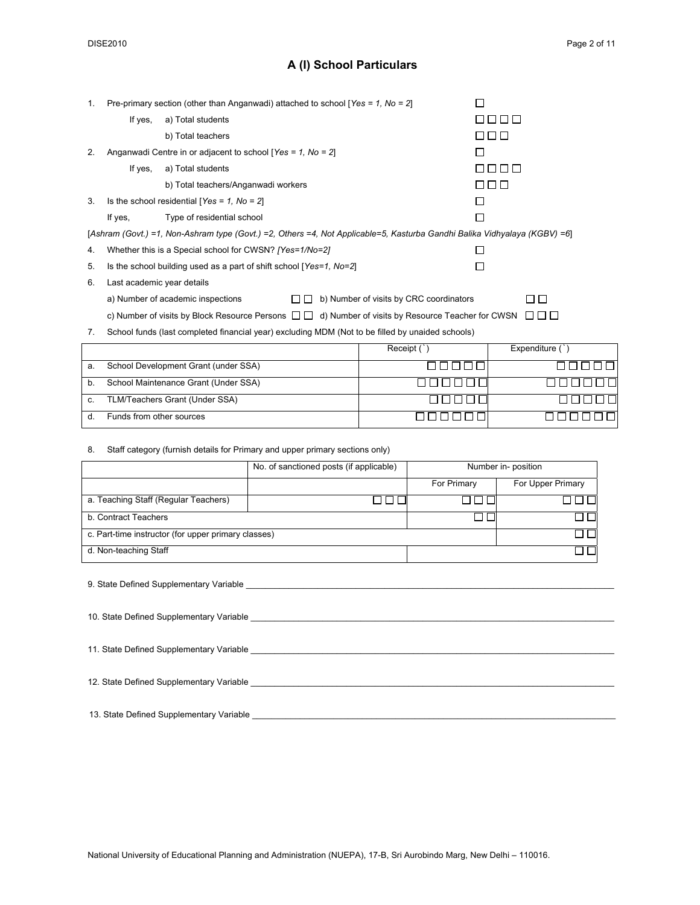#### **A (I) School Particulars**

| 1. | Pre-primary section (other than Anganwadi) attached to school [Yes = 1, No = 2]                                           |                                                                     |              |  |  |  |  |
|----|---------------------------------------------------------------------------------------------------------------------------|---------------------------------------------------------------------|--------------|--|--|--|--|
|    | If yes,                                                                                                                   | a) Total students                                                   | .            |  |  |  |  |
|    |                                                                                                                           | b) Total teachers                                                   | O O O        |  |  |  |  |
| 2. |                                                                                                                           | Anganwadi Centre in or adjacent to school [Yes = $1$ , No = $2$ ]   |              |  |  |  |  |
|    | If yes,                                                                                                                   | a) Total students                                                   | FIFIT I FIFI |  |  |  |  |
|    |                                                                                                                           | b) Total teachers/Anganwadi workers                                 | n n n        |  |  |  |  |
| 3. |                                                                                                                           | Is the school residential [Yes = $1$ , No = $2$ ]                   |              |  |  |  |  |
|    | If yes.                                                                                                                   | Type of residential school                                          |              |  |  |  |  |
|    | [Ashram (Govt.) =1, Non-Ashram type (Govt.) =2, Others =4, Not Applicable=5, Kasturba Gandhi Balika Vidhyalaya (KGBV) =6] |                                                                     |              |  |  |  |  |
| 4. |                                                                                                                           | Whether this is a Special school for CWSN? [Yes=1/No=2]             |              |  |  |  |  |
| 5. |                                                                                                                           | Is the school building used as a part of shift school [Yes=1, No=2] |              |  |  |  |  |

|  | 6. |  | Last academic year details |  |
|--|----|--|----------------------------|--|
|--|----|--|----------------------------|--|

a) Number of academic inspections  $\square \square$  b) Number of visits by CRC coordinators

 $\Box$ 

c) Number of visits by Block Resource Persons  $\Box$  d) Number of visits by Resource Teacher for CWSN  $\Box$   $\Box$ 

7. School funds (last completed financial year) excluding MDM (Not to be filled by unaided schools)

|    |                                      | Receipt ( | Expenditure ( |
|----|--------------------------------------|-----------|---------------|
| a. | School Development Grant (under SSA) |           |               |
| b. | School Maintenance Grant (Under SSA) |           |               |
| c. | TLM/Teachers Grant (Under SSA)       |           |               |
|    | Funds from other sources             |           |               |

#### 8. Staff category (furnish details for Primary and upper primary sections only)

| No. of sanctioned posts (if applicable)             |  |             | Number in-position |
|-----------------------------------------------------|--|-------------|--------------------|
|                                                     |  | For Primary | For Upper Primary  |
| a. Teaching Staff (Regular Teachers)                |  |             |                    |
| b. Contract Teachers                                |  |             |                    |
| c. Part-time instructor (for upper primary classes) |  |             |                    |
| d. Non-teaching Staff                               |  |             |                    |

9. State Defined Supplementary Variable \_\_\_\_\_\_\_\_\_\_\_\_\_\_\_\_\_\_\_\_\_\_\_\_\_\_\_\_\_\_\_\_\_\_\_\_\_\_\_\_\_\_\_\_\_\_\_\_\_\_\_\_\_\_\_\_\_\_\_\_\_\_\_\_\_\_\_\_\_\_\_\_\_\_\_\_\_

| 11. State Defined Supplementary Variable |  |
|------------------------------------------|--|
| 12. State Defined Supplementary Variable |  |

#### 13. State Defined Supplementary Variable \_\_\_\_\_\_\_\_\_\_\_\_\_\_\_\_\_\_\_\_\_\_\_\_\_\_\_\_\_\_\_\_\_\_\_\_\_\_\_\_\_\_\_\_\_\_\_\_\_\_\_\_\_\_\_\_\_\_\_\_\_\_\_\_\_\_\_\_\_\_\_\_\_\_\_\_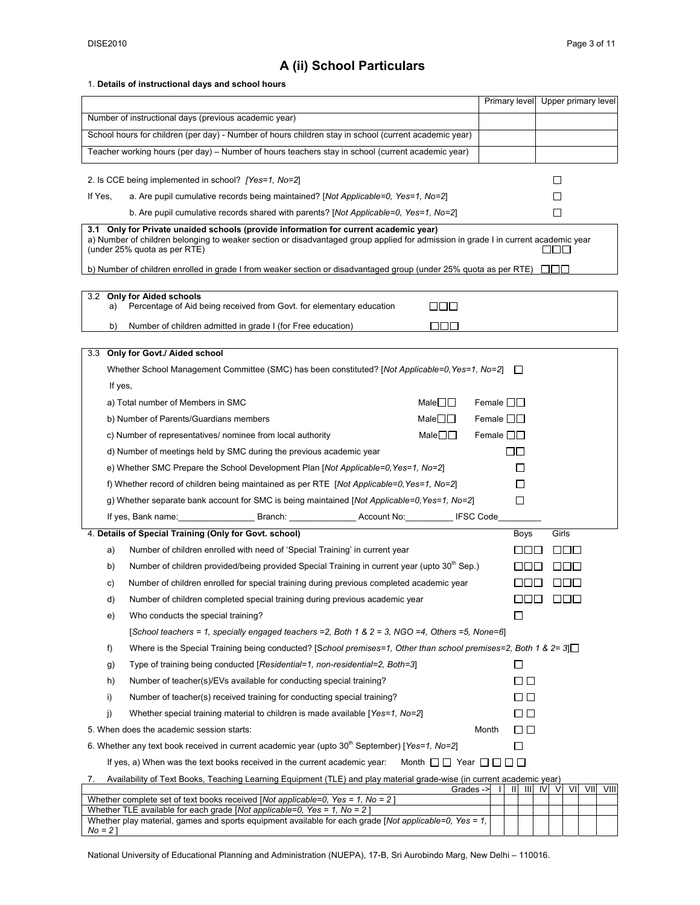*No = 2* ]

## **A (ii) School Particulars**

#### 1. **Details of instructional days and school hours**

|                                                                                                                                                                                                                                                            | Primary level                          | Upper primary level    |
|------------------------------------------------------------------------------------------------------------------------------------------------------------------------------------------------------------------------------------------------------------|----------------------------------------|------------------------|
| Number of instructional days (previous academic year)                                                                                                                                                                                                      |                                        |                        |
| School hours for children (per day) - Number of hours children stay in school (current academic year)                                                                                                                                                      |                                        |                        |
| Teacher working hours (per day) - Number of hours teachers stay in school (current academic year)                                                                                                                                                          |                                        |                        |
|                                                                                                                                                                                                                                                            |                                        |                        |
| 2. Is CCE being implemented in school? [Yes=1, No=2]                                                                                                                                                                                                       |                                        | ΙI                     |
| If Yes,<br>a. Are pupil cumulative records being maintained? [Not Applicable=0, Yes=1, No=2]                                                                                                                                                               |                                        | M.                     |
| b. Are pupil cumulative records shared with parents? [Not Applicable=0, Yes=1, No=2]                                                                                                                                                                       |                                        | $\Box$                 |
| 3.1 Only for Private unaided schools (provide information for current academic year)<br>a) Number of children belonging to weaker section or disadvantaged group applied for admission in grade I in current academic year<br>(under 25% quota as per RTE) |                                        | ا الماليا              |
| b) Number of children enrolled in grade I from weaker section or disadvantaged group (under 25% quota as per RTE)                                                                                                                                          |                                        | .                      |
|                                                                                                                                                                                                                                                            |                                        |                        |
| 3.2 Only for Aided schools<br>O O O<br>Percentage of Aid being received from Govt. for elementary education<br>a)                                                                                                                                          |                                        |                        |
| ПOО<br>b)<br>Number of children admitted in grade I (for Free education)                                                                                                                                                                                   |                                        |                        |
|                                                                                                                                                                                                                                                            |                                        |                        |
| Only for Govt./ Aided school<br>3.3                                                                                                                                                                                                                        |                                        |                        |
| Whether School Management Committee (SMC) has been constituted? [Not Applicable=0, Yes=1, No=2]                                                                                                                                                            | $\mathbf{1}$                           |                        |
| If yes,                                                                                                                                                                                                                                                    |                                        |                        |
| a) Total number of Members in SMC<br>Male $\Box$                                                                                                                                                                                                           | Female $\square \square$               |                        |
| b) Number of Parents/Guardians members<br>Male $\square \square$                                                                                                                                                                                           | Female $\square \square$               |                        |
| Male $\square\square$<br>c) Number of representatives/ nominee from local authority                                                                                                                                                                        | Female $\square \square$               |                        |
| d) Number of meetings held by SMC during the previous academic year                                                                                                                                                                                        | ПП                                     |                        |
| e) Whether SMC Prepare the School Development Plan [Not Applicable=0, Yes=1, No=2]                                                                                                                                                                         | ப                                      |                        |
| f) Whether record of children being maintained as per RTE [Not Applicable=0, Yes=1, No=2]                                                                                                                                                                  | □                                      |                        |
| g) Whether separate bank account for SMC is being maintained [Not Applicable=0, Yes=1, No=2]                                                                                                                                                               | □                                      |                        |
| Branch: Account No: IFSC Code                                                                                                                                                                                                                              |                                        |                        |
| 4. Details of Special Training (Only for Govt. school)                                                                                                                                                                                                     | Boys                                   | Girls                  |
| Number of children enrolled with need of 'Special Training' in current year<br>a)                                                                                                                                                                          | <u>Literatu</u>                        | LILILI                 |
| Number of children provided/being provided Special Training in current year (upto 30 <sup>m</sup> Sep.)<br>b)                                                                                                                                              | .                                      | 1 11 11 1              |
| Number of children enrolled for special training during previous completed academic year<br>c)                                                                                                                                                             |                                        |                        |
| Number of children completed special training during previous academic year<br>d)                                                                                                                                                                          | ooo                                    | $\Box$                 |
| Who conducts the special training?<br>e)                                                                                                                                                                                                                   | □                                      |                        |
| [School teachers = 1, specially engaged teachers = 2, Both 1 & 2 = 3, NGO = 4, Others = 5, None=6]                                                                                                                                                         |                                        |                        |
| Where is the Special Training being conducted? [School premises=1, Other than school premises=2, Both 1 & 2= 3]<br>f)                                                                                                                                      |                                        |                        |
| Type of training being conducted [Residential=1, non-residential=2, Both=3]<br>g)                                                                                                                                                                          | $\Box$                                 |                        |
| h)<br>Number of teacher(s)/EVs available for conducting special training?                                                                                                                                                                                  | பெ                                     |                        |
| i)<br>Number of teacher(s) received training for conducting special training?                                                                                                                                                                              | பப                                     |                        |
| j)<br>Whether special training material to children is made available [Yes=1, No=2]                                                                                                                                                                        | $\Box$ $\Box$                          |                        |
| 5. When does the academic session starts:                                                                                                                                                                                                                  | Month<br>□□                            |                        |
| 6. Whether any text book received in current academic year (upto 30 <sup>th</sup> September) [Yes=1, No=2]                                                                                                                                                 | □                                      |                        |
| Month $\Box$ Year $\Box$ $\Box$ $\Box$<br>If yes, a) When was the text books received in the current academic year:                                                                                                                                        |                                        |                        |
| Availability of Text Books, Teaching Learning Equipment (TLE) and play material grade-wise (in current academic year)<br>7.<br>Grades ->                                                                                                                   | $  $ $  $ $  $ $ $ $ $<br>$\mathbf{I}$ | VII<br>VIII<br>VI<br>V |
| Whether complete set of text books received [Not applicable=0, Yes = 1, No = 2]                                                                                                                                                                            |                                        |                        |
| Whether TLE available for each grade [Not applicable=0, Yes = $1$ , No = 2]                                                                                                                                                                                |                                        |                        |

National University of Educational Planning and Administration (NUEPA), 17-B, Sri Aurobindo Marg, New Delhi – 110016.

Whether play material, games and sports equipment available for each grade [*Not applicable=0, Yes = 1,*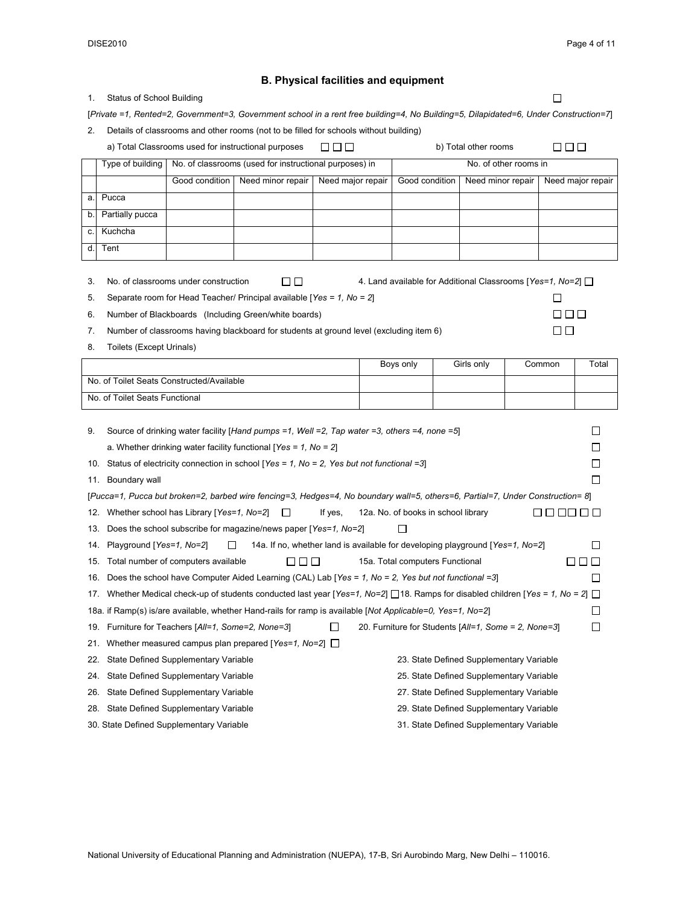$\Box$ 

 $\Box$  $\square \, \square \, \square$  $\square$ <br/> $\square$ 

 $\Box \Box \Box$ 

#### **B. Physical facilities and equipment**

| - 1. |  | Status of School Building |  |
|------|--|---------------------------|--|
|------|--|---------------------------|--|

[*Private =1, Rented=2, Government=3, Government school in a rent free building=4, No Building=5, Dilapidated=6, Under Construction=7*]

2. Details of classrooms and other rooms (not to be filled for schools without building)

a) Total Classrooms used for instructional purposes  $\Box$   $\Box$   $\Box$  b) Total other rooms

|   |                 |                | Type of building   No. of classrooms (used for instructional purposes) in |                   | No. of other rooms in |                   |                   |
|---|-----------------|----------------|---------------------------------------------------------------------------|-------------------|-----------------------|-------------------|-------------------|
|   |                 | Good condition | Need minor repair                                                         | Need major repair | Good condition        | Need minor repair | Need major repair |
| я | Pucca           |                |                                                                           |                   |                       |                   |                   |
|   | Partially pucca |                |                                                                           |                   |                       |                   |                   |
|   | Kuchcha         |                |                                                                           |                   |                       |                   |                   |
|   | Tent            |                |                                                                           |                   |                       |                   |                   |

3. No. of classrooms under construction  $\square \square$  4. Land available for Additional Classrooms [Yes=1, No=2]  $\square$ 

5. Separate room for Head Teacher/ Principal available [*Yes = 1, No = 2*]

| 6. |  | Number of Blackboards (Including Green/white boards) |
|----|--|------------------------------------------------------|
|----|--|------------------------------------------------------|

7. Number of classrooms having blackboard for students at ground level (excluding item 6)

8. Toilets (Except Urinals)

|                                           | Bovs only | Girls only | Common | Total |
|-------------------------------------------|-----------|------------|--------|-------|
| No. of Toilet Seats Constructed/Available |           |            |        |       |
| No. of Toilet Seats Functional            |           |            |        |       |

| 9.  | Source of drinking water facility [Hand pumps = 1, Well = 2, Tap water = 3, others = 4, none = 5]                                                                                          |                                          |  |  |  |  |  |  |  |  |  |  |  |  |  |
|-----|--------------------------------------------------------------------------------------------------------------------------------------------------------------------------------------------|------------------------------------------|--|--|--|--|--|--|--|--|--|--|--|--|--|
|     | a. Whether drinking water facility functional [Yes = 1, No = 2]                                                                                                                            |                                          |  |  |  |  |  |  |  |  |  |  |  |  |  |
|     | 10. Status of electricity connection in school [Yes = 1, No = 2, Yes but not functional = 3]                                                                                               |                                          |  |  |  |  |  |  |  |  |  |  |  |  |  |
| 11. | Boundary wall                                                                                                                                                                              |                                          |  |  |  |  |  |  |  |  |  |  |  |  |  |
|     | [Pucca=1, Pucca but broken=2, barbed wire fencing=3, Hedges=4, No boundary wall=5, others=6, Partial=7, Under Construction= 8]                                                             |                                          |  |  |  |  |  |  |  |  |  |  |  |  |  |
|     | 12. Whether school has Library [Yes=1, No=2]<br>12a. No. of books in school library<br>If yes,<br>$\Box$                                                                                   |                                          |  |  |  |  |  |  |  |  |  |  |  |  |  |
| 13. | Does the school subscribe for magazine/news paper [Yes=1, No=2]<br>14. Playground [Yes=1, No=2]<br>14a. If no, whether land is available for developing playground [Yes=1, No=2]<br>$\Box$ |                                          |  |  |  |  |  |  |  |  |  |  |  |  |  |
|     |                                                                                                                                                                                            |                                          |  |  |  |  |  |  |  |  |  |  |  |  |  |
| 15. | Total number of computers available<br>15a. Total computers Functional<br>ΙI<br>1 I I I<br>H<br>$\mathbf{I}$                                                                               |                                          |  |  |  |  |  |  |  |  |  |  |  |  |  |
| 16. | Does the school have Computer Aided Learning (CAL) Lab $\lceil \text{Yes} = 1 \rceil$ , No = 2, Yes but not functional =3                                                                  |                                          |  |  |  |  |  |  |  |  |  |  |  |  |  |
|     | 17. Whether Medical check-up of students conducted last year [Yes=1, No=2] [18. Ramps for disabled children [Yes = 1, No = 2] []                                                           |                                          |  |  |  |  |  |  |  |  |  |  |  |  |  |
|     | 18a. if Ramp(s) is/are available, whether Hand-rails for ramp is available [Not Applicable=0, Yes=1, No=2]                                                                                 |                                          |  |  |  |  |  |  |  |  |  |  |  |  |  |
|     | 19. Furniture for Teachers [All=1, Some=2, None=3]<br>П<br>20. Furniture for Students [All=1, Some = 2, None=3]                                                                            |                                          |  |  |  |  |  |  |  |  |  |  |  |  |  |
|     | 21. Whether measured campus plan prepared [Yes=1, No=2] $\Box$                                                                                                                             |                                          |  |  |  |  |  |  |  |  |  |  |  |  |  |
|     | 22. State Defined Supplementary Variable                                                                                                                                                   | 23. State Defined Supplementary Variable |  |  |  |  |  |  |  |  |  |  |  |  |  |
| 24. | State Defined Supplementary Variable                                                                                                                                                       | 25. State Defined Supplementary Variable |  |  |  |  |  |  |  |  |  |  |  |  |  |
| 26. | State Defined Supplementary Variable                                                                                                                                                       | 27. State Defined Supplementary Variable |  |  |  |  |  |  |  |  |  |  |  |  |  |
| 28. | State Defined Supplementary Variable                                                                                                                                                       | 29. State Defined Supplementary Variable |  |  |  |  |  |  |  |  |  |  |  |  |  |

30. State Defined Supplementary Variable 31. State Defined Supplementary Variable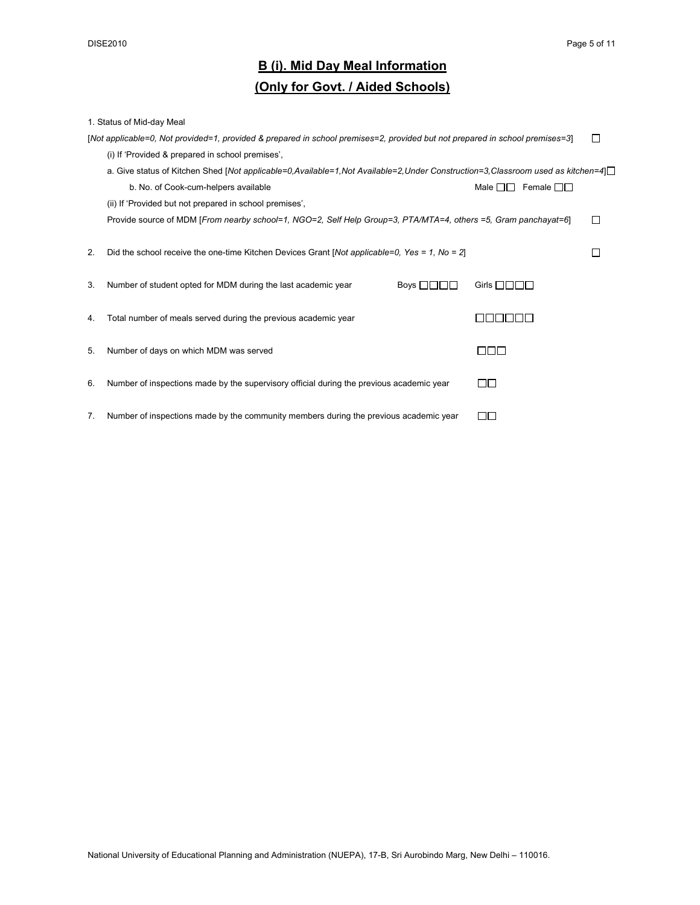# **B (i). Mid Day Meal Information**

### **(Only for Govt. / Aided Schools)**

|    | 1. Status of Mid-day Meal                                                                                                      |                              |  |
|----|--------------------------------------------------------------------------------------------------------------------------------|------------------------------|--|
|    | [Not applicable=0, Not provided=1, provided & prepared in school premises=2, provided but not prepared in school premises=3]   |                              |  |
|    | (i) If 'Provided & prepared in school premises'.                                                                               |                              |  |
|    | a. Give status of Kitchen Shed [Not applicable=0,Available=1,Not Available=2,Under Construction=3,Classroom used as kitchen=4] |                              |  |
|    | b. No. of Cook-cum-helpers available                                                                                           | Female $\Box$<br>Male $\Box$ |  |
|    | (ii) If 'Provided but not prepared in school premises',                                                                        |                              |  |
|    | Provide source of MDM [From nearby school=1, NGO=2, Self Help Group=3, PTA/MTA=4, others =5, Gram panchayat=6]                 |                              |  |
|    |                                                                                                                                |                              |  |
| 2. | Did the school receive the one-time Kitchen Devices Grant [Not applicable=0, Yes = 1, No = 2]                                  |                              |  |
|    |                                                                                                                                |                              |  |
| 3. | Number of student opted for MDM during the last academic year<br>Boys $\Box$                                                   | Girls $\Box$ $\Box$ $\Box$   |  |
|    |                                                                                                                                |                              |  |
| 4. | Total number of meals served during the previous academic year                                                                 | - 11 - 11 - 1                |  |
|    |                                                                                                                                |                              |  |
| 5. | Number of days on which MDM was served                                                                                         | ППП                          |  |
|    |                                                                                                                                |                              |  |
| 6. | Number of inspections made by the supervisory official during the previous academic year                                       | ПП                           |  |
|    |                                                                                                                                |                              |  |
| 7. | Number of inspections made by the community members during the previous academic year                                          | - 11 -                       |  |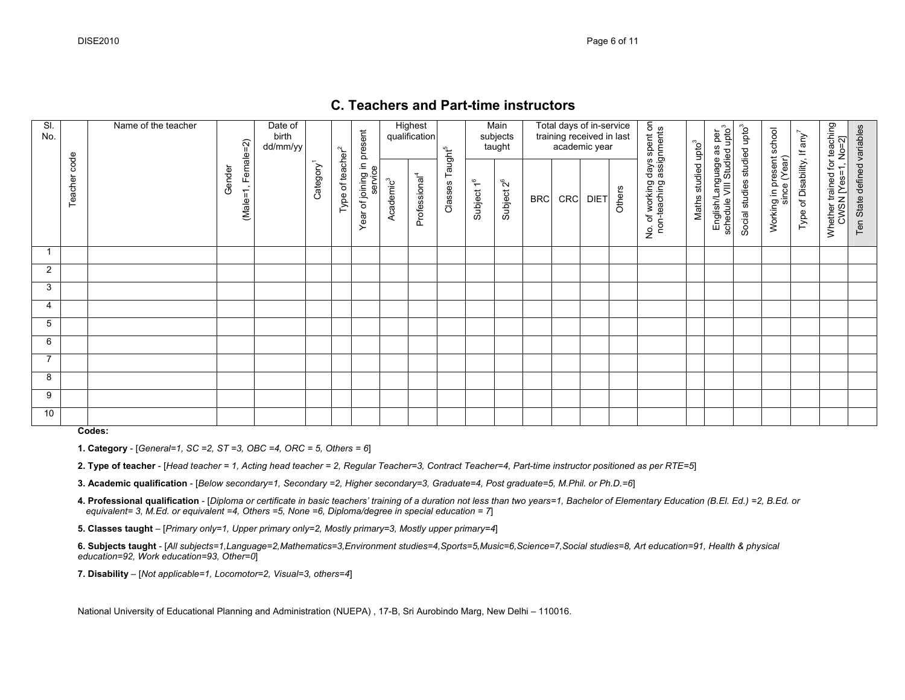#### **C. Teachers and Part-time instructors**

| SI.<br>No. |                 | Name of the teacher |                                | Date of<br>birth<br>dd/mm/yy |                       |                              |                                       |                       | <b>Highest</b><br>qualification |                                |                        | Main<br>subjects<br>taught |            |            | Total days of in-service<br>training received in last<br>academic year |        |                                                                    |                                 | i per<br>upto <sup>3</sup>                     |                                          |                                           |                                         |                                                    |                             |
|------------|-----------------|---------------------|--------------------------------|------------------------------|-----------------------|------------------------------|---------------------------------------|-----------------------|---------------------------------|--------------------------------|------------------------|----------------------------|------------|------------|------------------------------------------------------------------------|--------|--------------------------------------------------------------------|---------------------------------|------------------------------------------------|------------------------------------------|-------------------------------------------|-----------------------------------------|----------------------------------------------------|-----------------------------|
|            | code<br>Teacher |                     | $(Male=1, Female=2)$<br>Gender |                              | Category <sup>1</sup> | Type of teacher <sup>2</sup> | Year of joining in present<br>service | Academic <sup>3</sup> | Professional <sup>4</sup>       | Taught <sup>5</sup><br>Classes | Subject 1 <sup>6</sup> | Subject 2 <sup>6</sup>     | <b>BRC</b> | <b>CRC</b> | <b>DIET</b>                                                            | Others | lo. of working days spent on<br>non-teaching assignments<br>.<br>ع | Maths studied upto <sup>3</sup> | English/Language as<br>schedule VIII Studied u | Social studies studied upto <sup>3</sup> | Working in present school<br>since (Year) | Type of Disability, If any <sup>7</sup> | Whether trained for teaching<br>CWSN [Yes=1, No=2] | Ten State defined variables |
|            |                 |                     |                                |                              |                       |                              |                                       |                       |                                 |                                |                        |                            |            |            |                                                                        |        |                                                                    |                                 |                                                |                                          |                                           |                                         |                                                    |                             |
| 2          |                 |                     |                                |                              |                       |                              |                                       |                       |                                 |                                |                        |                            |            |            |                                                                        |        |                                                                    |                                 |                                                |                                          |                                           |                                         |                                                    |                             |
| 3          |                 |                     |                                |                              |                       |                              |                                       |                       |                                 |                                |                        |                            |            |            |                                                                        |        |                                                                    |                                 |                                                |                                          |                                           |                                         |                                                    |                             |
| 4          |                 |                     |                                |                              |                       |                              |                                       |                       |                                 |                                |                        |                            |            |            |                                                                        |        |                                                                    |                                 |                                                |                                          |                                           |                                         |                                                    |                             |
| 5          |                 |                     |                                |                              |                       |                              |                                       |                       |                                 |                                |                        |                            |            |            |                                                                        |        |                                                                    |                                 |                                                |                                          |                                           |                                         |                                                    |                             |
| 6          |                 |                     |                                |                              |                       |                              |                                       |                       |                                 |                                |                        |                            |            |            |                                                                        |        |                                                                    |                                 |                                                |                                          |                                           |                                         |                                                    |                             |
| 7          |                 |                     |                                |                              |                       |                              |                                       |                       |                                 |                                |                        |                            |            |            |                                                                        |        |                                                                    |                                 |                                                |                                          |                                           |                                         |                                                    |                             |
| 8          |                 |                     |                                |                              |                       |                              |                                       |                       |                                 |                                |                        |                            |            |            |                                                                        |        |                                                                    |                                 |                                                |                                          |                                           |                                         |                                                    |                             |
| 9          |                 |                     |                                |                              |                       |                              |                                       |                       |                                 |                                |                        |                            |            |            |                                                                        |        |                                                                    |                                 |                                                |                                          |                                           |                                         |                                                    |                             |
| 10         |                 |                     |                                |                              |                       |                              |                                       |                       |                                 |                                |                        |                            |            |            |                                                                        |        |                                                                    |                                 |                                                |                                          |                                           |                                         |                                                    |                             |

**Codes:** 

**1. Category** - [*General=1, SC =2, ST =3, OBC =4, ORC = 5, Others = 6*]

**2. Type of teacher** - [*Head teacher = 1, Acting head teacher = 2, Regular Teacher=3, Contract Teacher=4, Part-time instructor positioned as per RTE=5*]

**3. Academic qualification** - [*Below secondary=1, Secondary =2, Higher secondary=3, Graduate=4, Post graduate=5, M.Phil. or Ph.D.=6*]

**4. Professional qualification** - [*Diploma or certificate in basic teachers' training of a duration not less than two years=1, Bachelor of Elementary Education (B.El. Ed.) =2, B.Ed. or equivalent= 3, M.Ed. or equivalent =4, Others =5, None =6, Diploma/degree in special education = 7*]

**5. Classes taught** – [*Primary only=1, Upper primary only=2, Mostly primary=3, Mostly upper primary=4*]

**6. Subjects taught** - [*All subjects=1,Language=2,Mathematics=3,Environment studies=4,Sports=5,Music=6,Science=7,Social studies=8, Art education=91, Health & physical education=92, Work education=93, Other=0*]

**7. Disability** – [*Not applicable=1, Locomotor=2, Visual=3, others=4*]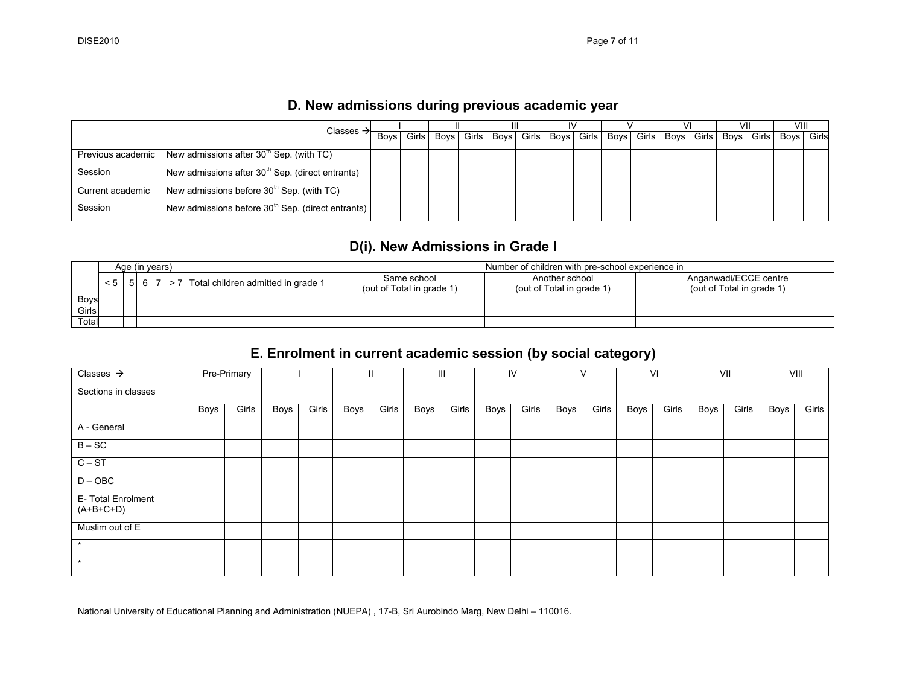## **D. New admissions during previous academic year**

|                     | Classes $\rightarrow$                                        |  |  | Ш |                                                                                                               |  |  | VII | VIII |       |
|---------------------|--------------------------------------------------------------|--|--|---|---------------------------------------------------------------------------------------------------------------|--|--|-----|------|-------|
|                     |                                                              |  |  |   | Boys   Girls   Boys   Girls   Boys   Girls   Boys   Girls   Boys   Girls   Boys   Girls   Boys   Girls   Boys |  |  |     |      | Girls |
| Previous academic I | New admissions after $30th$ Sep. (with TC)                   |  |  |   |                                                                                                               |  |  |     |      |       |
| Session             | New admissions after 30 <sup>th</sup> Sep. (direct entrants) |  |  |   |                                                                                                               |  |  |     |      |       |
| Current academic    | New admissions before 30 <sup>th</sup> Sep. (with TC)        |  |  |   |                                                                                                               |  |  |     |      |       |
| Session             | New admissions before $30th$ Sep. (direct entrants)          |  |  |   |                                                                                                               |  |  |     |      |       |

## **D(i). New Admissions in Grade I**

|       |                   | Age (in years) |    |  |                                        |                           | Number of children with pre-school experience in |                           |
|-------|-------------------|----------------|----|--|----------------------------------------|---------------------------|--------------------------------------------------|---------------------------|
|       | $< 5 \mid 5 \mid$ |                | 61 |  | > 7 Total children admitted in grade 1 | Same school               | Another school                                   | Anganwadi/ECCE centre     |
|       |                   |                |    |  |                                        | (out of Total in grade 1) | (out of Total in grade 1)                        | (out of Total in grade 1) |
| Boys  |                   |                |    |  |                                        |                           |                                                  |                           |
| Girls |                   |                |    |  |                                        |                           |                                                  |                           |
| Total |                   |                |    |  |                                        |                           |                                                  |                           |

## **E. Enrolment in current academic session (by social category)**

| Classes $\rightarrow$             |      | Pre-Primary |      |       |      | $\mathbf{H}$ |      | $\mathbf{III}$ |      | IV    |      | V     |             | VI    |      | VII   |      | VIII  |
|-----------------------------------|------|-------------|------|-------|------|--------------|------|----------------|------|-------|------|-------|-------------|-------|------|-------|------|-------|
| Sections in classes               |      |             |      |       |      |              |      |                |      |       |      |       |             |       |      |       |      |       |
|                                   | Boys | Girls       | Boys | Girls | Boys | Girls        | Boys | Girls          | Boys | Girls | Boys | Girls | <b>Boys</b> | Girls | Boys | Girls | Boys | Girls |
| A - General                       |      |             |      |       |      |              |      |                |      |       |      |       |             |       |      |       |      |       |
| $B - SC$                          |      |             |      |       |      |              |      |                |      |       |      |       |             |       |      |       |      |       |
| $C - ST$                          |      |             |      |       |      |              |      |                |      |       |      |       |             |       |      |       |      |       |
| $D - OBC$                         |      |             |      |       |      |              |      |                |      |       |      |       |             |       |      |       |      |       |
| E- Total Enrolment<br>$(A+B+C+D)$ |      |             |      |       |      |              |      |                |      |       |      |       |             |       |      |       |      |       |
| Muslim out of E                   |      |             |      |       |      |              |      |                |      |       |      |       |             |       |      |       |      |       |
|                                   |      |             |      |       |      |              |      |                |      |       |      |       |             |       |      |       |      |       |
| $\star$                           |      |             |      |       |      |              |      |                |      |       |      |       |             |       |      |       |      |       |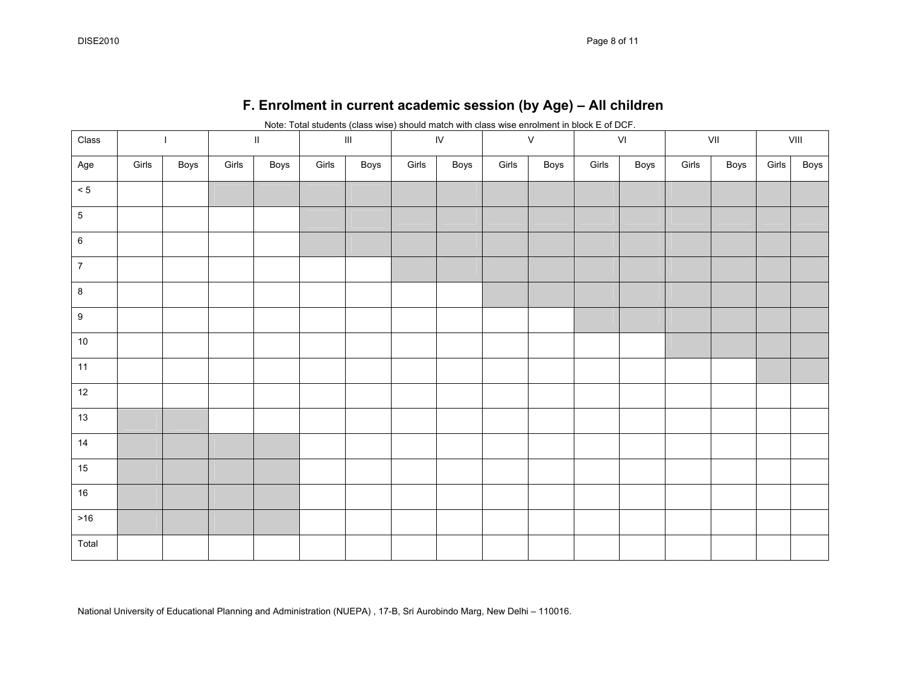|                  |       |                |       |         |       |                                    |       | Note: Total students (class wise) should match with class wise enrolment in block E of DCF. |       |              |       |               |       |      |       |                                                                  |
|------------------|-------|----------------|-------|---------|-------|------------------------------------|-------|---------------------------------------------------------------------------------------------|-------|--------------|-------|---------------|-------|------|-------|------------------------------------------------------------------|
| $\textsf{Class}$ |       | $\overline{1}$ |       | $\rm H$ |       | $\ensuremath{\mathsf{III}}\xspace$ |       | ${\sf IV}$                                                                                  |       | $\mathsf{V}$ |       | $\mathsf{VI}$ |       | VII  |       | $\ensuremath{\mathsf{V}}\xspace\ensuremath{\mathsf{III}}\xspace$ |
| Age              | Girls | Boys           | Girls | Boys    | Girls | Boys                               | Girls | Boys                                                                                        | Girls | Boys         | Girls | Boys          | Girls | Boys | Girls | Boys                                                             |
| $\leq 5$         |       |                |       |         |       |                                    |       |                                                                                             |       |              |       |               |       |      |       |                                                                  |
| $\overline{5}$   |       |                |       |         |       |                                    |       |                                                                                             |       |              |       |               |       |      |       |                                                                  |
| $\,$ 6 $\,$      |       |                |       |         |       |                                    |       |                                                                                             |       |              |       |               |       |      |       |                                                                  |
| $\overline{7}$   |       |                |       |         |       |                                    |       |                                                                                             |       |              |       |               |       |      |       |                                                                  |
| $\boldsymbol{8}$ |       |                |       |         |       |                                    |       |                                                                                             |       |              |       |               |       |      |       |                                                                  |
| $9\,$            |       |                |       |         |       |                                    |       |                                                                                             |       |              |       |               |       |      |       |                                                                  |
| $10\,$           |       |                |       |         |       |                                    |       |                                                                                             |       |              |       |               |       |      |       |                                                                  |
| 11               |       |                |       |         |       |                                    |       |                                                                                             |       |              |       |               |       |      |       |                                                                  |
| 12               |       |                |       |         |       |                                    |       |                                                                                             |       |              |       |               |       |      |       |                                                                  |
| 13               |       |                |       |         |       |                                    |       |                                                                                             |       |              |       |               |       |      |       |                                                                  |
| 14               |       |                |       |         |       |                                    |       |                                                                                             |       |              |       |               |       |      |       |                                                                  |
| $15\,$           |       |                |       |         |       |                                    |       |                                                                                             |       |              |       |               |       |      |       |                                                                  |
| $16\,$           |       |                |       |         |       |                                    |       |                                                                                             |       |              |       |               |       |      |       |                                                                  |
| $>16$            |       |                |       |         |       |                                    |       |                                                                                             |       |              |       |               |       |      |       |                                                                  |
| Total            |       |                |       |         |       |                                    |       |                                                                                             |       |              |       |               |       |      |       |                                                                  |

# **F. Enrolment in current academic session (by Age) – All children**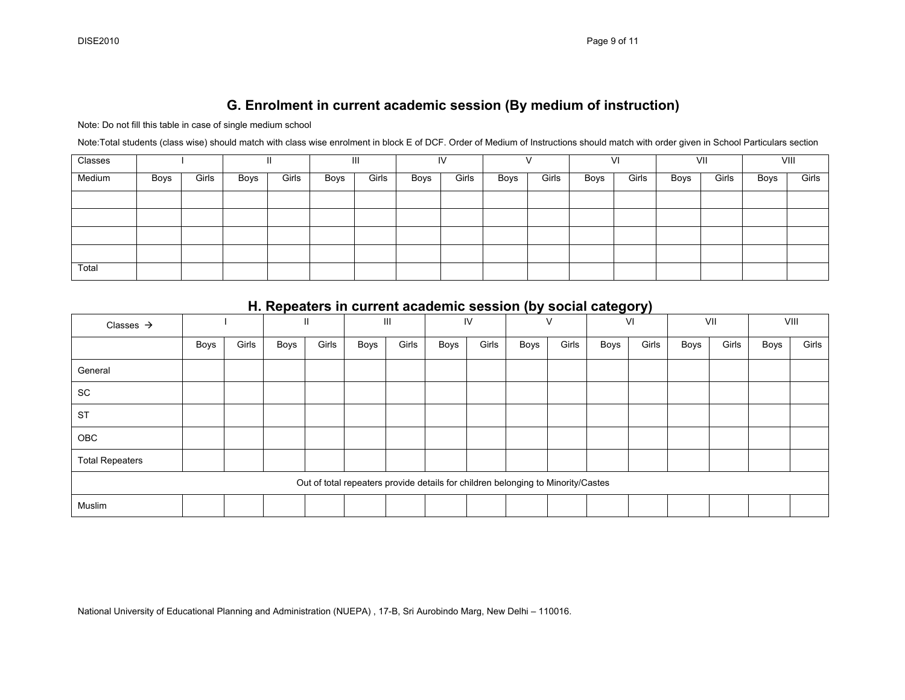### **G. Enrolment in current academic session (By medium of instruction)**

Note: Do not fill this table in case of single medium school

Note:Total students (class wise) should match with class wise enrolment in block E of DCF. Order of Medium of Instructions should match with order given in School Particulars section

| Classes |      |       |      |       |      | Ш     |      | IV    |      |       |      | VI    |      | VII   |      | VIII  |
|---------|------|-------|------|-------|------|-------|------|-------|------|-------|------|-------|------|-------|------|-------|
| Medium  | Boys | Girls | Boys | Girls | Boys | Girls | Boys | Girls | Boys | Girls | Boys | Girls | Boys | Girls | Boys | Girls |
|         |      |       |      |       |      |       |      |       |      |       |      |       |      |       |      |       |
|         |      |       |      |       |      |       |      |       |      |       |      |       |      |       |      |       |
|         |      |       |      |       |      |       |      |       |      |       |      |       |      |       |      |       |
|         |      |       |      |       |      |       |      |       |      |       |      |       |      |       |      |       |
| Total   |      |       |      |       |      |       |      |       |      |       |      |       |      |       |      |       |

|                        |      |       | $\cdots \cdots$ , $\cdots$ , $\cdots$ , $\cdots$ , $\cdots$ , $\cdots$ , $\cdots$ , $\cdots$ , $\cdots$ , $\cdots$ , $\cdots$ , $\cdots$ , $\cdots$ , $\cdots$ , $\cdots$ , $\cdots$ , $\cdots$ , $\cdots$ , $\cdots$ , $\cdots$ , $\cdots$ , $\cdots$ , $\cdots$ , $\cdots$ , $\cdots$ , $\cdots$ , $\cdots$ , $\$ |               |      |       |                                                                                  |       |      |       |      |       |      |       |      |       |
|------------------------|------|-------|---------------------------------------------------------------------------------------------------------------------------------------------------------------------------------------------------------------------------------------------------------------------------------------------------------------------|---------------|------|-------|----------------------------------------------------------------------------------|-------|------|-------|------|-------|------|-------|------|-------|
| Classes $\rightarrow$  |      |       |                                                                                                                                                                                                                                                                                                                     | $\mathbf{II}$ |      | Ш     |                                                                                  | IV    |      |       |      | VI    |      | VII   |      | VIII  |
|                        | Boys | Girls | Boys                                                                                                                                                                                                                                                                                                                | Girls         | Boys | Girls | Boys                                                                             | Girls | Boys | Girls | Boys | Girls | Boys | Girls | Boys | Girls |
| General                |      |       |                                                                                                                                                                                                                                                                                                                     |               |      |       |                                                                                  |       |      |       |      |       |      |       |      |       |
| <b>SC</b>              |      |       |                                                                                                                                                                                                                                                                                                                     |               |      |       |                                                                                  |       |      |       |      |       |      |       |      |       |
| <b>ST</b>              |      |       |                                                                                                                                                                                                                                                                                                                     |               |      |       |                                                                                  |       |      |       |      |       |      |       |      |       |
| OBC                    |      |       |                                                                                                                                                                                                                                                                                                                     |               |      |       |                                                                                  |       |      |       |      |       |      |       |      |       |
| <b>Total Repeaters</b> |      |       |                                                                                                                                                                                                                                                                                                                     |               |      |       |                                                                                  |       |      |       |      |       |      |       |      |       |
|                        |      |       |                                                                                                                                                                                                                                                                                                                     |               |      |       | Out of total repeaters provide details for children belonging to Minority/Castes |       |      |       |      |       |      |       |      |       |
| Muslim                 |      |       |                                                                                                                                                                                                                                                                                                                     |               |      |       |                                                                                  |       |      |       |      |       |      |       |      |       |

#### **H. Repeaters in current academic session (by social category)**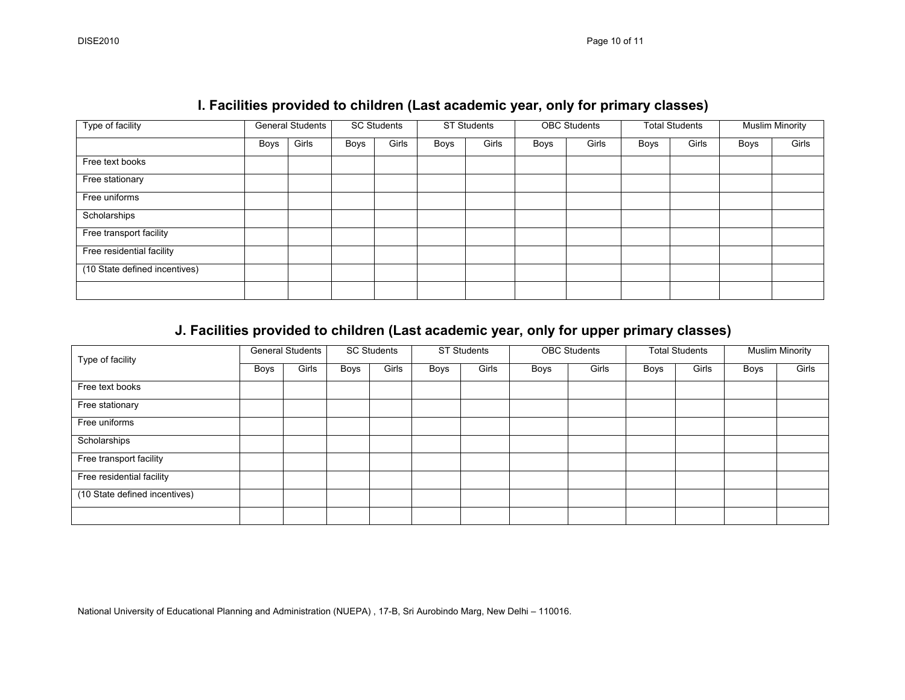| Type of facility              |             | <b>General Students</b> |      | SC Students |      | <b>ST Students</b> |      | <b>OBC Students</b> |      | <b>Total Students</b> |      | <b>Muslim Minority</b> |
|-------------------------------|-------------|-------------------------|------|-------------|------|--------------------|------|---------------------|------|-----------------------|------|------------------------|
|                               | <b>Boys</b> | Girls                   | Boys | Girls       | Boys | Girls              | Boys | Girls               | Boys | Girls                 | Boys | Girls                  |
| Free text books               |             |                         |      |             |      |                    |      |                     |      |                       |      |                        |
| Free stationary               |             |                         |      |             |      |                    |      |                     |      |                       |      |                        |
| Free uniforms                 |             |                         |      |             |      |                    |      |                     |      |                       |      |                        |
| Scholarships                  |             |                         |      |             |      |                    |      |                     |      |                       |      |                        |
| Free transport facility       |             |                         |      |             |      |                    |      |                     |      |                       |      |                        |
| Free residential facility     |             |                         |      |             |      |                    |      |                     |      |                       |      |                        |
| (10 State defined incentives) |             |                         |      |             |      |                    |      |                     |      |                       |      |                        |
|                               |             |                         |      |             |      |                    |      |                     |      |                       |      |                        |

### **I. Facilities provided to children (Last academic year, only for primary classes)**

## **J. Facilities provided to children (Last academic year, only for upper primary classes)**

| Type of facility              |      | <b>General Students</b> |      | <b>SC Students</b> |      | <b>ST Students</b> |      | <b>OBC Students</b> |      | <b>Total Students</b> |      | <b>Muslim Minority</b> |
|-------------------------------|------|-------------------------|------|--------------------|------|--------------------|------|---------------------|------|-----------------------|------|------------------------|
|                               | Boys | Girls                   | Boys | Girls              | Boys | Girls              | Boys | Girls               | Boys | Girls                 | Boys | Girls                  |
| Free text books               |      |                         |      |                    |      |                    |      |                     |      |                       |      |                        |
| Free stationary               |      |                         |      |                    |      |                    |      |                     |      |                       |      |                        |
| Free uniforms                 |      |                         |      |                    |      |                    |      |                     |      |                       |      |                        |
| Scholarships                  |      |                         |      |                    |      |                    |      |                     |      |                       |      |                        |
| Free transport facility       |      |                         |      |                    |      |                    |      |                     |      |                       |      |                        |
| Free residential facility     |      |                         |      |                    |      |                    |      |                     |      |                       |      |                        |
| (10 State defined incentives) |      |                         |      |                    |      |                    |      |                     |      |                       |      |                        |
|                               |      |                         |      |                    |      |                    |      |                     |      |                       |      |                        |